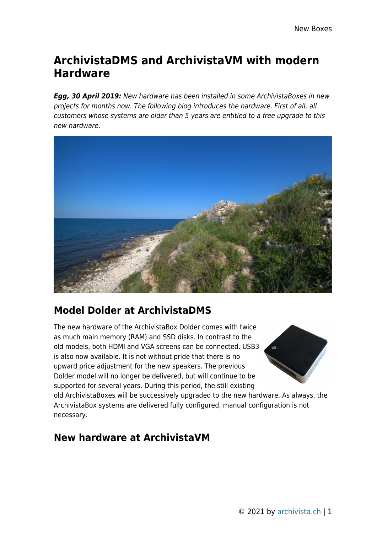## **ArchivistaDMS and ArchivistaVM with modern Hardware**

*Egg, 30 April 2019:* New hardware has been installed in some ArchivistaBoxes in new projects for months now. The following blog introduces the hardware. First of all, all customers whose systems are older than 5 years are entitled to a free upgrade to this new hardware.



## **Model Dolder at ArchivistaDMS**

The new hardware of the ArchivistaBox Dolder comes with twice as much main memory (RAM) and SSD disks. In contrast to the old models, both HDMI and VGA screens can be connected. USB3 is also now available. It is not without pride that there is no upward price adjustment for the new speakers. The previous Dolder model will no longer be delivered, but will continue to be supported for several years. During this period, the still existing



old ArchivistaBoxes will be successively upgraded to the new hardware. As always, the ArchivistaBox systems are delivered fully configured, manual configuration is not necessary.

## **New hardware at ArchivistaVM**